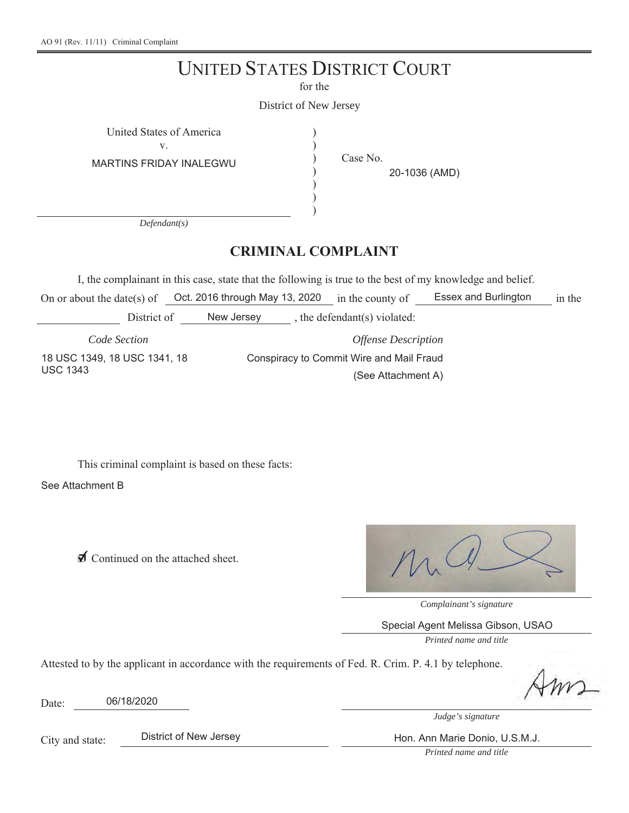## UNITED STATES DISTRICT COURT

for the

District of New Jersey

) ) ) ) ) )

United States of America )

v.

MARTINS FRIDAY INALEGWU

Case No.

20-1036 (AMD)

*Defendant(s)*

### **CRIMINAL COMPLAINT**

I, the complainant in this case, state that the following is true to the best of my knowledge and belief.

On or about the date(s) of  $Oct.$  2016 through May 13, 2020 in the county of Essex and Burlington in the District of Mew Jersey, the defendant(s) violated:

*Code Section* 18 USC 1349, 18 USC 1341, 18

*Offense Description* Conspiracy to Commit Wire and Mail Fraud (See Attachment A)

This criminal complaint is based on these facts:

See Attachment B

USC 1343

◯ Continued on the attached sheet.

*Complainant's signature*

Special Agent Melissa Gibson, USAO

*Printed name and title*

Attested to by the applicant in accordance with the requirements of Fed. R. Crim. P. 4.1 by telephone.

Date: 06/18/2020

*Judge's signature*

City and state:

District of New Jersey **Hon. Ann Marie Donio, U.S.M.J.** 

*Printed name and title*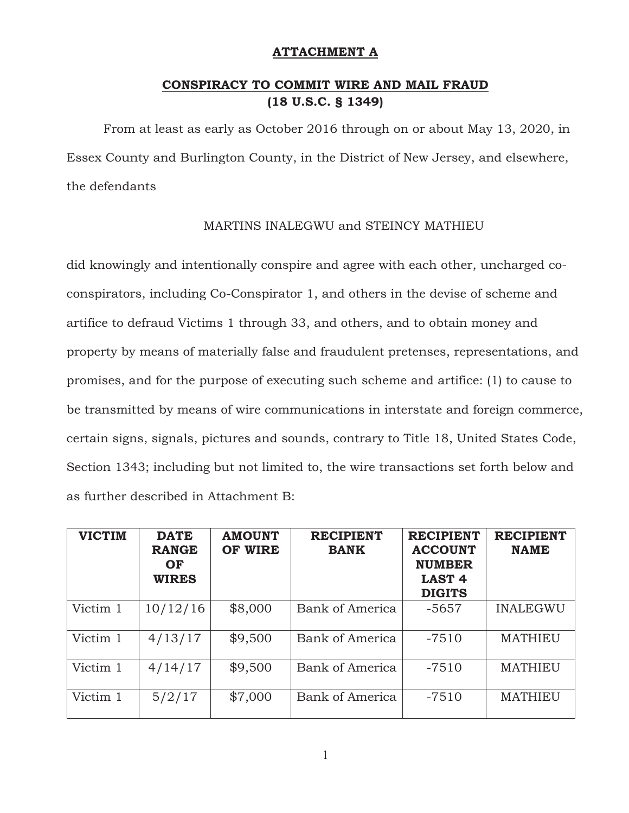#### **ATTACHMENT A**

#### **CONSPIRACY TO COMMIT WIRE AND MAIL FRAUD (18 U.S.C. § 1349)**

From at least as early as October 2016 through on or about May 13, 2020, in Essex County and Burlington County, in the District of New Jersey, and elsewhere, the defendants

#### MARTINS INALEGWU and STEINCY MATHIEU

did knowingly and intentionally conspire and agree with each other, uncharged coconspirators, including Co-Conspirator 1, and others in the devise of scheme and artifice to defraud Victims 1 through 33, and others, and to obtain money and property by means of materially false and fraudulent pretenses, representations, and promises, and for the purpose of executing such scheme and artifice: (1) to cause to be transmitted by means of wire communications in interstate and foreign commerce, certain signs, signals, pictures and sounds, contrary to Title 18, United States Code, Section 1343; including but not limited to, the wire transactions set forth below and as further described in Attachment B:

| <b>VICTIM</b> | <b>DATE</b><br><b>RANGE</b><br>OF<br><b>WIRES</b> | <b>AMOUNT</b><br>OF WIRE | <b>RECIPIENT</b><br><b>BANK</b> | <b>RECIPIENT</b><br><b>ACCOUNT</b><br><b>NUMBER</b><br><b>LAST 4</b><br><b>DIGITS</b> | <b>RECIPIENT</b><br><b>NAME</b> |
|---------------|---------------------------------------------------|--------------------------|---------------------------------|---------------------------------------------------------------------------------------|---------------------------------|
| Victim 1      | 10/12/16                                          | \$8,000                  | Bank of America                 | $-5657$                                                                               | <b>INALEGWU</b>                 |
| Victim 1      | 4/13/17                                           | \$9,500                  | Bank of America                 | $-7510$                                                                               | <b>MATHIEU</b>                  |
| Victim 1      | 4/14/17                                           | \$9,500                  | Bank of America                 | $-7510$                                                                               | <b>MATHIEU</b>                  |
| Victim 1      | 5/2/17                                            | \$7,000                  | Bank of America                 | $-7510$                                                                               | <b>MATHIEU</b>                  |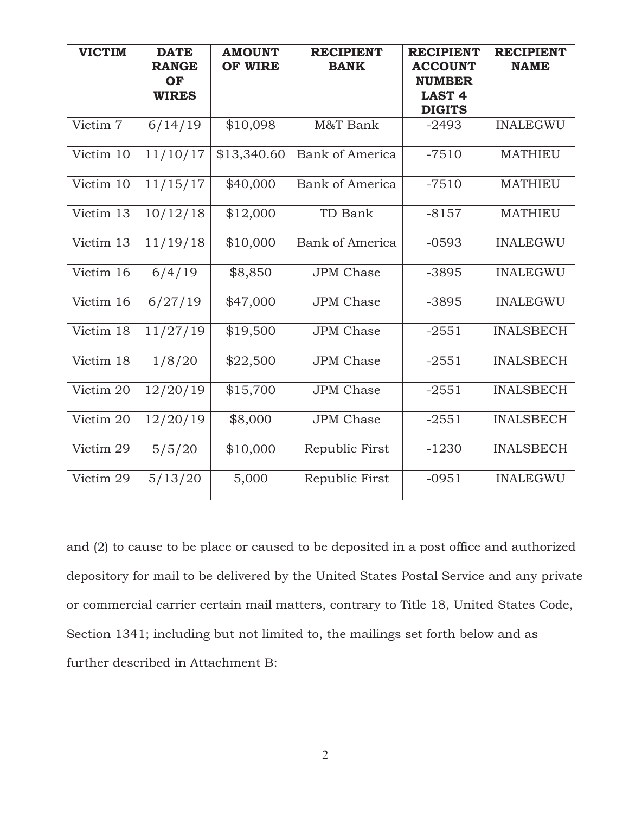| <b>VICTIM</b> | <b>DATE</b><br><b>RANGE</b><br>OF<br><b>WIRES</b> | <b>AMOUNT</b><br><b>OF WIRE</b> | <b>RECIPIENT</b><br><b>BANK</b> | <b>RECIPIENT</b><br><b>ACCOUNT</b><br><b>NUMBER</b><br><b>LAST 4</b><br><b>DIGITS</b> | <b>RECIPIENT</b><br><b>NAME</b> |
|---------------|---------------------------------------------------|---------------------------------|---------------------------------|---------------------------------------------------------------------------------------|---------------------------------|
| Victim 7      | 6/14/19                                           | \$10,098                        | M&T Bank                        | $-2493$                                                                               | <b>INALEGWU</b>                 |
| Victim 10     | 11/10/17                                          | \$13,340.60                     | <b>Bank of America</b>          | $-7510$                                                                               | <b>MATHIEU</b>                  |
| Victim 10     | 11/15/17                                          | \$40,000                        | Bank of America                 | $-7510$                                                                               | <b>MATHIEU</b>                  |
| Victim 13     | 10/12/18                                          | \$12,000                        | TD Bank                         | $-8157$                                                                               | <b>MATHIEU</b>                  |
| Victim 13     | 11/19/18                                          | \$10,000                        | <b>Bank of America</b>          | $-0593$                                                                               | <b>INALEGWU</b>                 |
| Victim 16     | 6/4/19                                            | \$8,850                         | <b>JPM</b> Chase                | $-3895$                                                                               | <b>INALEGWU</b>                 |
| Victim 16     | 6/27/19                                           | \$47,000                        | <b>JPM</b> Chase                | $-3895$                                                                               | <b>INALEGWU</b>                 |
| Victim 18     | 11/27/19                                          | \$19,500                        | <b>JPM</b> Chase                | $-2551$                                                                               | <b>INALSBECH</b>                |
| Victim 18     | 1/8/20                                            | \$22,500                        | <b>JPM</b> Chase                | $-2551$                                                                               | <b>INALSBECH</b>                |
| Victim 20     | 12/20/19                                          | \$15,700                        | <b>JPM</b> Chase                | $-2551$                                                                               | <b>INALSBECH</b>                |
| Victim 20     | 12/20/19                                          | \$8,000                         | <b>JPM</b> Chase                | $-2551$                                                                               | <b>INALSBECH</b>                |
| Victim 29     | 5/5/20                                            | \$10,000                        | Republic First                  | $-1230$                                                                               | <b>INALSBECH</b>                |
| Victim 29     | 5/13/20                                           | 5,000                           | Republic First                  | $-0951$                                                                               | <b>INALEGWU</b>                 |

and (2) to cause to be place or caused to be deposited in a post office and authorized depository for mail to be delivered by the United States Postal Service and any private or commercial carrier certain mail matters, contrary to Title 18, United States Code, Section 1341; including but not limited to, the mailings set forth below and as further described in Attachment B: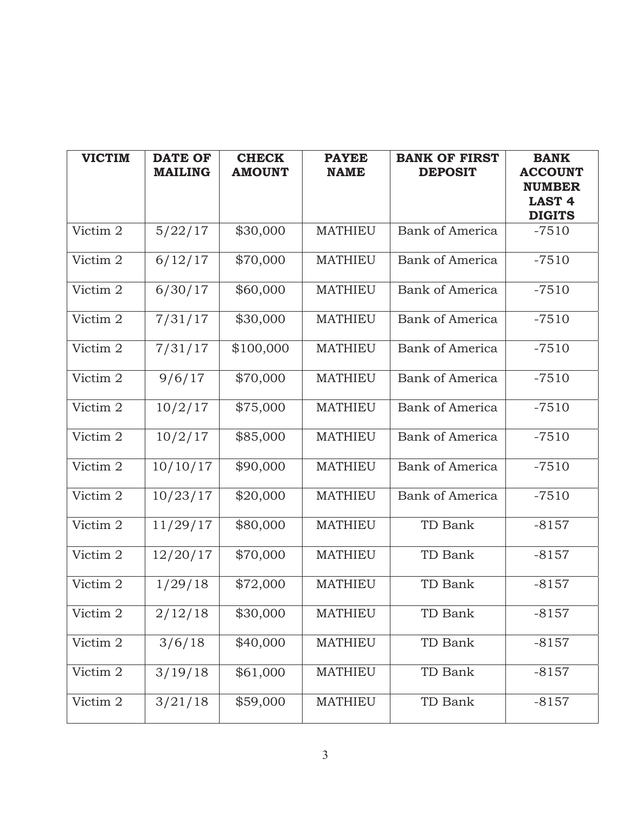| <b>VICTIM</b> | <b>DATE OF</b><br><b>MAILING</b> | <b>CHECK</b><br><b>AMOUNT</b> | <b>PAYEE</b><br><b>NAME</b> | <b>BANK OF FIRST</b><br><b>DEPOSIT</b> | <b>BANK</b><br><b>ACCOUNT</b><br><b>NUMBER</b><br><b>LAST 4</b><br><b>DIGITS</b> |
|---------------|----------------------------------|-------------------------------|-----------------------------|----------------------------------------|----------------------------------------------------------------------------------|
| Victim 2      | 5/22/17                          | \$30,000                      | <b>MATHIEU</b>              | <b>Bank of America</b>                 | $-7510$                                                                          |
| Victim 2      | 6/12/17                          | \$70,000                      | <b>MATHIEU</b>              | <b>Bank of America</b>                 | $-7510$                                                                          |
| Victim 2      | 6/30/17                          | \$60,000                      | <b>MATHIEU</b>              | <b>Bank of America</b>                 | $-7510$                                                                          |
| Victim 2      | 7/31/17                          | \$30,000                      | <b>MATHIEU</b>              | <b>Bank of America</b>                 | $-7510$                                                                          |
| Victim 2      | 7/31/17                          | \$100,000                     | <b>MATHIEU</b>              | <b>Bank of America</b>                 | $-7510$                                                                          |
| Victim 2      | 9/6/17                           | \$70,000                      | <b>MATHIEU</b>              | <b>Bank of America</b>                 | $-7510$                                                                          |
| Victim 2      | 10/2/17                          | \$75,000                      | <b>MATHIEU</b>              | <b>Bank of America</b>                 | $-7510$                                                                          |
| Victim 2      | 10/2/17                          | \$85,000                      | <b>MATHIEU</b>              | <b>Bank of America</b>                 | $-7510$                                                                          |
| Victim 2      | 10/10/17                         | \$90,000                      | <b>MATHIEU</b>              | Bank of America                        | $-7510$                                                                          |
| Victim 2      | 10/23/17                         | \$20,000                      | <b>MATHIEU</b>              | <b>Bank of America</b>                 | $-7510$                                                                          |
| Victim 2      | 11/29/17                         | \$80,000                      | <b>MATHIEU</b>              | TD Bank                                | $-8157$                                                                          |
| Victim 2      | 12/20/17                         | \$70,000                      | <b>MATHIEU</b>              | TD Bank                                | $-8157$                                                                          |
| Victim 2      | 1/29/18                          | \$72,000                      | <b>MATHIEU</b>              | TD Bank                                | $-8157$                                                                          |
| Victim 2      | 2/12/18                          | \$30,000                      | <b>MATHIEU</b>              | TD Bank                                | $-8157$                                                                          |
| Victim 2      | 3/6/18                           | \$40,000                      | <b>MATHIEU</b>              | TD Bank                                | $-8157$                                                                          |
| Victim 2      | 3/19/18                          | \$61,000                      | <b>MATHIEU</b>              | TD Bank                                | $-8157$                                                                          |
| Victim 2      | 3/21/18                          | \$59,000                      | MATHIEU                     | TD Bank                                | $-8157$                                                                          |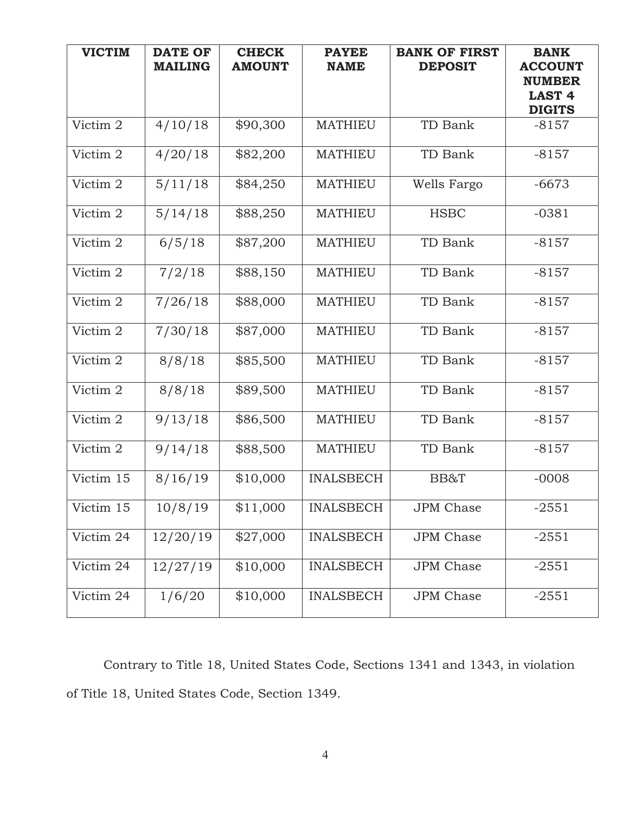| <b>VICTIM</b> | <b>DATE OF</b><br><b>MAILING</b> | <b>CHECK</b><br><b>AMOUNT</b> | <b>PAYEE</b><br><b>NAME</b> | <b>BANK OF FIRST</b><br><b>DEPOSIT</b> | <b>BANK</b><br><b>ACCOUNT</b><br><b>NUMBER</b><br><b>LAST 4</b><br><b>DIGITS</b> |
|---------------|----------------------------------|-------------------------------|-----------------------------|----------------------------------------|----------------------------------------------------------------------------------|
| Victim 2      | 4/10/18                          | \$90,300                      | <b>MATHIEU</b>              | TD Bank                                | $-8157$                                                                          |
| Victim 2      | 4/20/18                          | \$82,200                      | <b>MATHIEU</b>              | TD Bank                                | $-8157$                                                                          |
| Victim 2      | 5/11/18                          | \$84,250                      | <b>MATHIEU</b>              | Wells Fargo                            | $-6673$                                                                          |
| Victim 2      | 5/14/18                          | \$88,250                      | <b>MATHIEU</b>              | <b>HSBC</b>                            | $-0381$                                                                          |
| Victim 2      | 6/5/18                           | \$87,200                      | <b>MATHIEU</b>              | TD Bank                                | $-8157$                                                                          |
| Victim 2      | 7/2/18                           | \$88,150                      | <b>MATHIEU</b>              | TD Bank                                | $-8157$                                                                          |
| Victim 2      | 7/26/18                          | \$88,000                      | <b>MATHIEU</b>              | TD Bank                                | $-8157$                                                                          |
| Victim 2      | 7/30/18                          | \$87,000                      | <b>MATHIEU</b>              | TD Bank                                | $-8157$                                                                          |
| Victim 2      | 8/8/18                           | \$85,500                      | <b>MATHIEU</b>              | TD Bank                                | $-8157$                                                                          |
| Victim 2      | 8/8/18                           | \$89,500                      | <b>MATHIEU</b>              | TD Bank                                | $-8157$                                                                          |
| Victim 2      | 9/13/18                          | \$86,500                      | <b>MATHIEU</b>              | TD Bank                                | $-8157$                                                                          |
| Victim 2      | 9/14/18                          | \$88,500                      | <b>MATHIEU</b>              | TD Bank                                | $-8157$                                                                          |
| Victim 15     | 8/16/19                          | \$10,000                      | <b>INALSBECH</b>            | BB&T                                   | $-0008$                                                                          |
| Victim 15     | 10/8/19                          | \$11,000                      | <b>INALSBECH</b>            | JPM Chase                              | $-2551$                                                                          |
| Victim 24     | 12/20/19                         | \$27,000                      | <b>INALSBECH</b>            | <b>JPM</b> Chase                       | $-2551$                                                                          |
| Victim 24     | 12/27/19                         | \$10,000                      | <b>INALSBECH</b>            | JPM Chase                              | $-2551$                                                                          |
| Victim 24     | 1/6/20                           | \$10,000                      | <b>INALSBECH</b>            | <b>JPM</b> Chase                       | $-2551$                                                                          |

Contrary to Title 18, United States Code, Sections 1341 and 1343, in violation of Title 18, United States Code, Section 1349.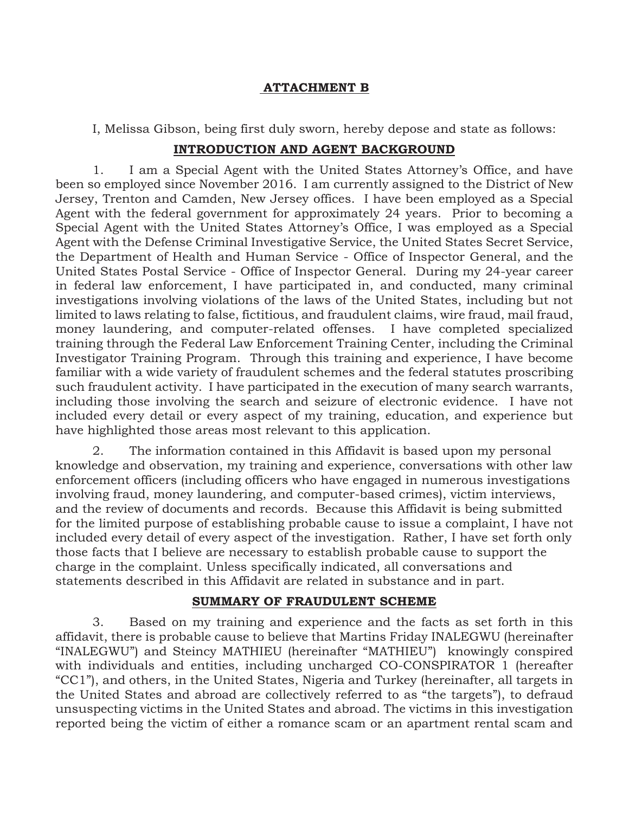#### **ATTACHMENT B**

I, Melissa Gibson, being first duly sworn, hereby depose and state as follows:

#### **INTRODUCTION AND AGENT BACKGROUND**

1. I am a Special Agent with the United States Attorney's Office, and have been so employed since November 2016. I am currently assigned to the District of New Jersey, Trenton and Camden, New Jersey offices. I have been employed as a Special Agent with the federal government for approximately 24 years. Prior to becoming a Special Agent with the United States Attorney's Office, I was employed as a Special Agent with the Defense Criminal Investigative Service, the United States Secret Service, the Department of Health and Human Service - Office of Inspector General, and the United States Postal Service - Office of Inspector General. During my 24-year career in federal law enforcement, I have participated in, and conducted, many criminal investigations involving violations of the laws of the United States, including but not limited to laws relating to false, fictitious, and fraudulent claims, wire fraud, mail fraud, money laundering, and computer-related offenses. I have completed specialized training through the Federal Law Enforcement Training Center, including the Criminal Investigator Training Program. Through this training and experience, I have become familiar with a wide variety of fraudulent schemes and the federal statutes proscribing such fraudulent activity. I have participated in the execution of many search warrants, including those involving the search and seizure of electronic evidence. I have not included every detail or every aspect of my training, education, and experience but have highlighted those areas most relevant to this application.

2. The information contained in this Affidavit is based upon my personal knowledge and observation, my training and experience, conversations with other law enforcement officers (including officers who have engaged in numerous investigations involving fraud, money laundering, and computer-based crimes), victim interviews, and the review of documents and records. Because this Affidavit is being submitted for the limited purpose of establishing probable cause to issue a complaint, I have not included every detail of every aspect of the investigation. Rather, I have set forth only those facts that I believe are necessary to establish probable cause to support the charge in the complaint. Unless specifically indicated, all conversations and statements described in this Affidavit are related in substance and in part.

#### **SUMMARY OF FRAUDULENT SCHEME**

3. Based on my training and experience and the facts as set forth in this affidavit, there is probable cause to believe that Martins Friday INALEGWU (hereinafter "INALEGWU") and Steincy MATHIEU (hereinafter "MATHIEU") knowingly conspired with individuals and entities, including uncharged CO-CONSPIRATOR 1 (hereafter "CC1"), and others, in the United States, Nigeria and Turkey (hereinafter, all targets in the United States and abroad are collectively referred to as "the targets"), to defraud unsuspecting victims in the United States and abroad. The victims in this investigation reported being the victim of either a romance scam or an apartment rental scam and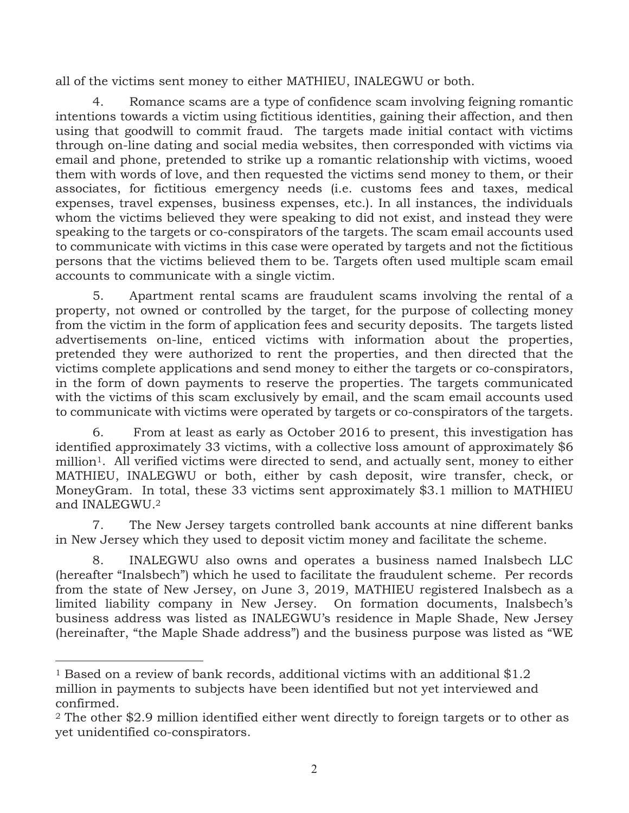all of the victims sent money to either MATHIEU, INALEGWU or both.

4. Romance scams are a type of confidence scam involving feigning romantic intentions towards a victim using fictitious identities, gaining their affection, and then using that goodwill to commit fraud. The targets made initial contact with victims through on-line dating and social media websites, then corresponded with victims via email and phone, pretended to strike up a romantic relationship with victims, wooed them with words of love, and then requested the victims send money to them, or their associates, for fictitious emergency needs (i.e. customs fees and taxes, medical expenses, travel expenses, business expenses, etc.). In all instances, the individuals whom the victims believed they were speaking to did not exist, and instead they were speaking to the targets or co-conspirators of the targets. The scam email accounts used to communicate with victims in this case were operated by targets and not the fictitious persons that the victims believed them to be. Targets often used multiple scam email accounts to communicate with a single victim.

5. Apartment rental scams are fraudulent scams involving the rental of a property, not owned or controlled by the target, for the purpose of collecting money from the victim in the form of application fees and security deposits. The targets listed advertisements on-line, enticed victims with information about the properties, pretended they were authorized to rent the properties, and then directed that the victims complete applications and send money to either the targets or co-conspirators, in the form of down payments to reserve the properties. The targets communicated with the victims of this scam exclusively by email, and the scam email accounts used to communicate with victims were operated by targets or co-conspirators of the targets.

6. From at least as early as October 2016 to present, this investigation has identified approximately 33 victims, with a collective loss amount of approximately \$6 million<sup>1</sup>. All verified victims were directed to send, and actually sent, money to either MATHIEU, INALEGWU or both, either by cash deposit, wire transfer, check, or MoneyGram. In total, these 33 victims sent approximately \$3.1 million to MATHIEU and INALEGWU.2

7. The New Jersey targets controlled bank accounts at nine different banks in New Jersey which they used to deposit victim money and facilitate the scheme.

8. INALEGWU also owns and operates a business named Inalsbech LLC (hereafter "Inalsbech") which he used to facilitate the fraudulent scheme. Per records from the state of New Jersey, on June 3, 2019, MATHIEU registered Inalsbech as a limited liability company in New Jersey. On formation documents, Inalsbech's business address was listed as INALEGWU's residence in Maple Shade, New Jersey (hereinafter, "the Maple Shade address") and the business purpose was listed as "WE

 $\overline{a}$ 

<sup>&</sup>lt;sup>1</sup> Based on a review of bank records, additional victims with an additional  $$1.2$ million in payments to subjects have been identified but not yet interviewed and confirmed.

<sup>2</sup> The other \$2.9 million identified either went directly to foreign targets or to other as yet unidentified co-conspirators.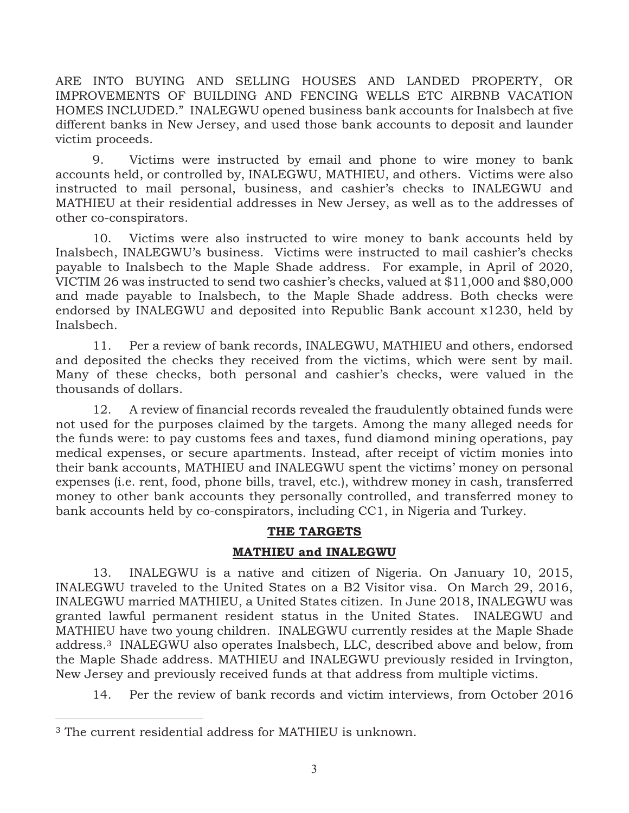ARE INTO BUYING AND SELLING HOUSES AND LANDED PROPERTY, OR IMPROVEMENTS OF BUILDING AND FENCING WELLS ETC AIRBNB VACATION HOMES INCLUDED." INALEGWU opened business bank accounts for Inalsbech at five different banks in New Jersey, and used those bank accounts to deposit and launder victim proceeds.

9. Victims were instructed by email and phone to wire money to bank accounts held, or controlled by, INALEGWU, MATHIEU, and others. Victims were also instructed to mail personal, business, and cashier's checks to INALEGWU and MATHIEU at their residential addresses in New Jersey, as well as to the addresses of other co-conspirators.

10. Victims were also instructed to wire money to bank accounts held by Inalsbech, INALEGWU's business. Victims were instructed to mail cashier's checks payable to Inalsbech to the Maple Shade address. For example, in April of 2020, VICTIM 26 was instructed to send two cashier's checks, valued at \$11,000 and \$80,000 and made payable to Inalsbech, to the Maple Shade address. Both checks were endorsed by INALEGWU and deposited into Republic Bank account x1230, held by Inalsbech.

11. Per a review of bank records, INALEGWU, MATHIEU and others, endorsed and deposited the checks they received from the victims, which were sent by mail. Many of these checks, both personal and cashier's checks, were valued in the thousands of dollars.

12. A review of financial records revealed the fraudulently obtained funds were not used for the purposes claimed by the targets. Among the many alleged needs for the funds were: to pay customs fees and taxes, fund diamond mining operations, pay medical expenses, or secure apartments. Instead, after receipt of victim monies into their bank accounts, MATHIEU and INALEGWU spent the victims' money on personal expenses (i.e. rent, food, phone bills, travel, etc.), withdrew money in cash, transferred money to other bank accounts they personally controlled, and transferred money to bank accounts held by co-conspirators, including CC1, in Nigeria and Turkey.

#### **THE TARGETS**

#### **MATHIEU and INALEGWU**

13. INALEGWU is a native and citizen of Nigeria. On January 10, 2015, INALEGWU traveled to the United States on a B2 Visitor visa. On March 29, 2016, INALEGWU married MATHIEU, a United States citizen. In June 2018, INALEGWU was granted lawful permanent resident status in the United States. INALEGWU and MATHIEU have two young children. INALEGWU currently resides at the Maple Shade address.3 INALEGWU also operates Inalsbech, LLC, described above and below, from the Maple Shade address. MATHIEU and INALEGWU previously resided in Irvington, New Jersey and previously received funds at that address from multiple victims.

14. Per the review of bank records and victim interviews, from October 2016

-

<sup>3</sup> The current residential address for MATHIEU is unknown.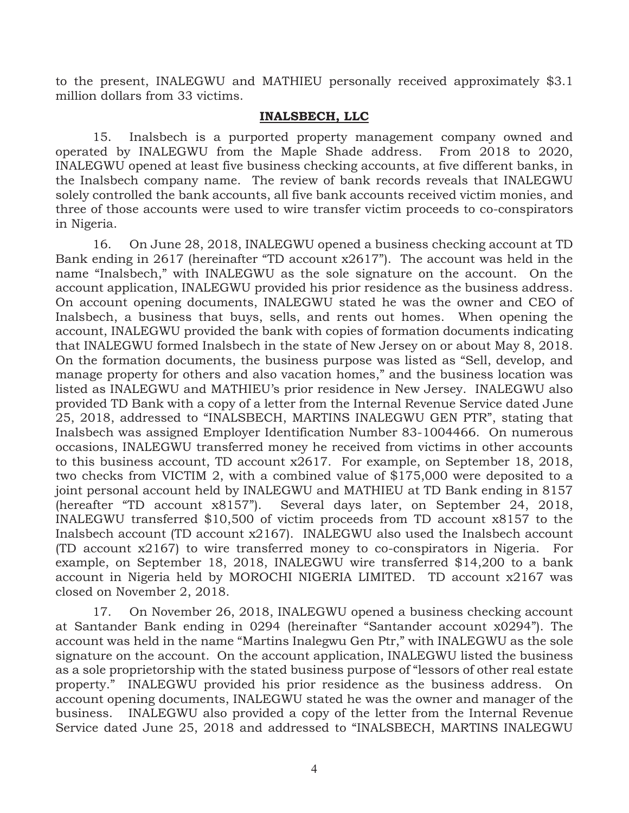to the present, INALEGWU and MATHIEU personally received approximately \$3.1 million dollars from 33 victims.

#### **INALSBECH, LLC**

15. Inalsbech is a purported property management company owned and operated by INALEGWU from the Maple Shade address. From 2018 to 2020, INALEGWU opened at least five business checking accounts, at five different banks, in the Inalsbech company name. The review of bank records reveals that INALEGWU solely controlled the bank accounts, all five bank accounts received victim monies, and three of those accounts were used to wire transfer victim proceeds to co-conspirators in Nigeria.

16. On June 28, 2018, INALEGWU opened a business checking account at TD Bank ending in 2617 (hereinafter "TD account x2617"). The account was held in the name "Inalsbech," with INALEGWU as the sole signature on the account. On the account application, INALEGWU provided his prior residence as the business address. On account opening documents, INALEGWU stated he was the owner and CEO of Inalsbech, a business that buys, sells, and rents out homes. When opening the account, INALEGWU provided the bank with copies of formation documents indicating that INALEGWU formed Inalsbech in the state of New Jersey on or about May 8, 2018. On the formation documents, the business purpose was listed as "Sell, develop, and manage property for others and also vacation homes," and the business location was listed as INALEGWU and MATHIEU's prior residence in New Jersey. INALEGWU also provided TD Bank with a copy of a letter from the Internal Revenue Service dated June 25, 2018, addressed to "INALSBECH, MARTINS INALEGWU GEN PTR", stating that Inalsbech was assigned Employer Identification Number 83-1004466. On numerous occasions, INALEGWU transferred money he received from victims in other accounts to this business account, TD account x2617. For example, on September 18, 2018, two checks from VICTIM 2, with a combined value of \$175,000 were deposited to a joint personal account held by INALEGWU and MATHIEU at TD Bank ending in 8157 (hereafter "TD account x8157"). Several days later, on September 24, 2018, INALEGWU transferred \$10,500 of victim proceeds from TD account x8157 to the Inalsbech account (TD account x2167). INALEGWU also used the Inalsbech account (TD account x2167) to wire transferred money to co-conspirators in Nigeria. For example, on September 18, 2018, INALEGWU wire transferred \$14,200 to a bank account in Nigeria held by MOROCHI NIGERIA LIMITED. TD account x2167 was closed on November 2, 2018.

17. On November 26, 2018, INALEGWU opened a business checking account at Santander Bank ending in 0294 (hereinafter "Santander account x0294"). The account was held in the name "Martins Inalegwu Gen Ptr," with INALEGWU as the sole signature on the account. On the account application, INALEGWU listed the business as a sole proprietorship with the stated business purpose of "lessors of other real estate property." INALEGWU provided his prior residence as the business address. On account opening documents, INALEGWU stated he was the owner and manager of the business. INALEGWU also provided a copy of the letter from the Internal Revenue Service dated June 25, 2018 and addressed to "INALSBECH, MARTINS INALEGWU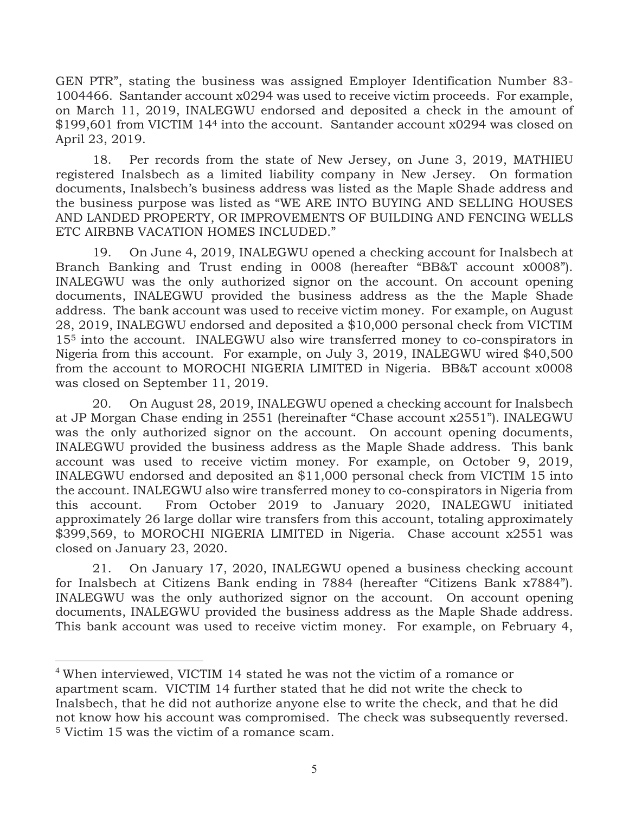GEN PTR", stating the business was assigned Employer Identification Number 83- 1004466. Santander account x0294 was used to receive victim proceeds. For example, on March 11, 2019, INALEGWU endorsed and deposited a check in the amount of \$199,601 from VICTIM 144 into the account. Santander account x0294 was closed on April 23, 2019.

18. Per records from the state of New Jersey, on June 3, 2019, MATHIEU registered Inalsbech as a limited liability company in New Jersey. On formation documents, Inalsbech's business address was listed as the Maple Shade address and the business purpose was listed as "WE ARE INTO BUYING AND SELLING HOUSES AND LANDED PROPERTY, OR IMPROVEMENTS OF BUILDING AND FENCING WELLS ETC AIRBNB VACATION HOMES INCLUDED."

19. On June 4, 2019, INALEGWU opened a checking account for Inalsbech at Branch Banking and Trust ending in 0008 (hereafter "BB&T account x0008"). INALEGWU was the only authorized signor on the account. On account opening documents, INALEGWU provided the business address as the the Maple Shade address. The bank account was used to receive victim money. For example, on August 28, 2019, INALEGWU endorsed and deposited a \$10,000 personal check from VICTIM 155 into the account. INALEGWU also wire transferred money to co-conspirators in Nigeria from this account. For example, on July 3, 2019, INALEGWU wired \$40,500 from the account to MOROCHI NIGERIA LIMITED in Nigeria. BB&T account x0008 was closed on September 11, 2019.

20. On August 28, 2019, INALEGWU opened a checking account for Inalsbech at JP Morgan Chase ending in 2551 (hereinafter "Chase account x2551"). INALEGWU was the only authorized signor on the account. On account opening documents, INALEGWU provided the business address as the Maple Shade address. This bank account was used to receive victim money. For example, on October 9, 2019, INALEGWU endorsed and deposited an \$11,000 personal check from VICTIM 15 into the account. INALEGWU also wire transferred money to co-conspirators in Nigeria from this account. From October 2019 to January 2020, INALEGWU initiated approximately 26 large dollar wire transfers from this account, totaling approximately \$399,569, to MOROCHI NIGERIA LIMITED in Nigeria. Chase account x2551 was closed on January 23, 2020.

21. On January 17, 2020, INALEGWU opened a business checking account for Inalsbech at Citizens Bank ending in 7884 (hereafter "Citizens Bank x7884"). INALEGWU was the only authorized signor on the account. On account opening documents, INALEGWU provided the business address as the Maple Shade address. This bank account was used to receive victim money. For example, on February 4,

<sup>4</sup> When interviewed, VICTIM 14 stated he was not the victim of a romance or apartment scam. VICTIM 14 further stated that he did not write the check to Inalsbech, that he did not authorize anyone else to write the check, and that he did not know how his account was compromised. The check was subsequently reversed. 5 Victim 15 was the victim of a romance scam.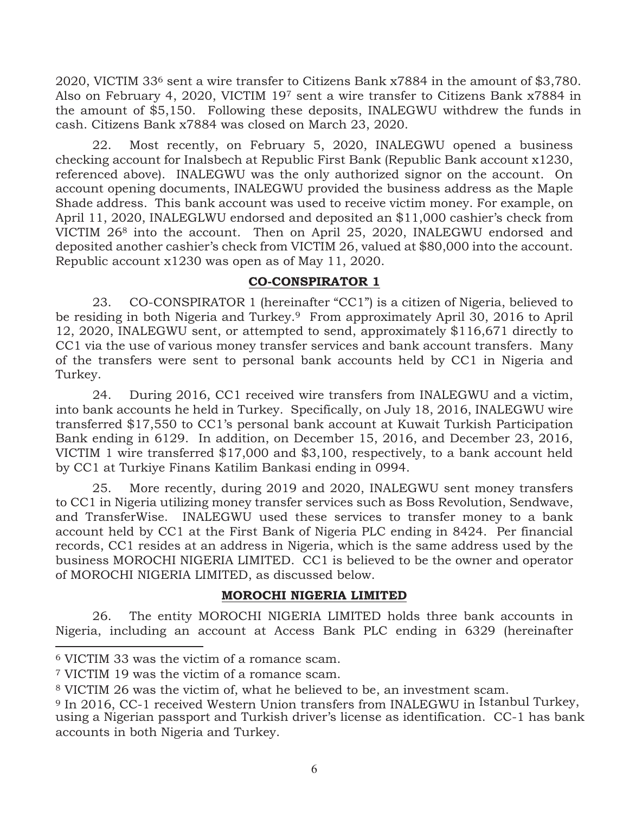2020, VICTIM 336 sent a wire transfer to Citizens Bank x7884 in the amount of \$3,780. Also on February 4, 2020, VICTIM 19<sup>7</sup> sent a wire transfer to Citizens Bank x7884 in the amount of \$5,150. Following these deposits, INALEGWU withdrew the funds in cash. Citizens Bank x7884 was closed on March 23, 2020.

22. Most recently, on February 5, 2020, INALEGWU opened a business checking account for Inalsbech at Republic First Bank (Republic Bank account x1230, referenced above). INALEGWU was the only authorized signor on the account. On account opening documents, INALEGWU provided the business address as the Maple Shade address. This bank account was used to receive victim money. For example, on April 11, 2020, INALEGLWU endorsed and deposited an \$11,000 cashier's check from VICTIM 268 into the account. Then on April 25, 2020, INALEGWU endorsed and deposited another cashier's check from VICTIM 26, valued at \$80,000 into the account. Republic account x1230 was open as of May 11, 2020.

#### **CO-CONSPIRATOR 1**

23. CO-CONSPIRATOR 1 (hereinafter "CC1") is a citizen of Nigeria, believed to be residing in both Nigeria and Turkey.<sup>9</sup> From approximately April 30, 2016 to April 12, 2020, INALEGWU sent, or attempted to send, approximately \$116,671 directly to CC1 via the use of various money transfer services and bank account transfers. Many of the transfers were sent to personal bank accounts held by CC1 in Nigeria and Turkey.

24. During 2016, CC1 received wire transfers from INALEGWU and a victim, into bank accounts he held in Turkey. Specifically, on July 18, 2016, INALEGWU wire transferred \$17,550 to CC1's personal bank account at Kuwait Turkish Participation Bank ending in 6129. In addition, on December 15, 2016, and December 23, 2016, VICTIM 1 wire transferred \$17,000 and \$3,100, respectively, to a bank account held by CC1 at Turkiye Finans Katilim Bankasi ending in 0994.

25. More recently, during 2019 and 2020, INALEGWU sent money transfers to CC1 in Nigeria utilizing money transfer services such as Boss Revolution, Sendwave, and TransferWise. INALEGWU used these services to transfer money to a bank account held by CC1 at the First Bank of Nigeria PLC ending in 8424. Per financial records, CC1 resides at an address in Nigeria, which is the same address used by the business MOROCHI NIGERIA LIMITED. CC1 is believed to be the owner and operator of MOROCHI NIGERIA LIMITED, as discussed below.

#### **MOROCHI NIGERIA LIMITED**

26. The entity MOROCHI NIGERIA LIMITED holds three bank accounts in Nigeria, including an account at Access Bank PLC ending in 6329 (hereinafter

<sup>6</sup> VICTIM 33 was the victim of a romance scam.

<sup>7</sup> VICTIM 19 was the victim of a romance scam.

<sup>8</sup> VICTIM 26 was the victim of, what he believed to be, an investment scam.

<sup>9</sup> In 2016, CC-1 received Western Union transfers from INALEGWU in Istanbul Turkey, using a Nigerian passport and Turkish driver's license as identification. CC-1 has bank accounts in both Nigeria and Turkey.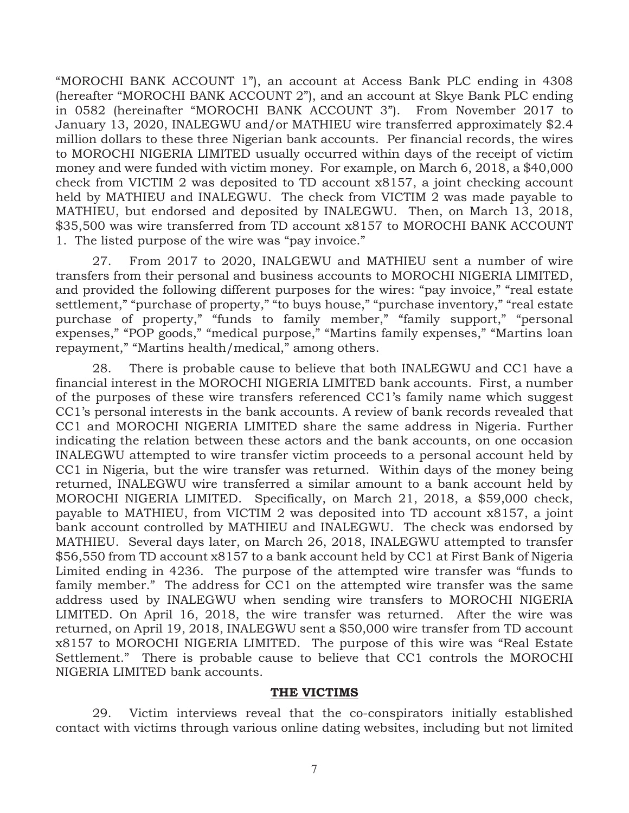"MOROCHI BANK ACCOUNT 1"), an account at Access Bank PLC ending in 4308 (hereafter "MOROCHI BANK ACCOUNT 2"), and an account at Skye Bank PLC ending in 0582 (hereinafter "MOROCHI BANK ACCOUNT 3"). From November 2017 to January 13, 2020, INALEGWU and/or MATHIEU wire transferred approximately \$2.4 million dollars to these three Nigerian bank accounts. Per financial records, the wires to MOROCHI NIGERIA LIMITED usually occurred within days of the receipt of victim money and were funded with victim money. For example, on March 6, 2018, a \$40,000 check from VICTIM 2 was deposited to TD account x8157, a joint checking account held by MATHIEU and INALEGWU. The check from VICTIM 2 was made payable to MATHIEU, but endorsed and deposited by INALEGWU. Then, on March 13, 2018, \$35,500 was wire transferred from TD account x8157 to MOROCHI BANK ACCOUNT 1. The listed purpose of the wire was "pay invoice."

27. From 2017 to 2020, INALGEWU and MATHIEU sent a number of wire transfers from their personal and business accounts to MOROCHI NIGERIA LIMITED, and provided the following different purposes for the wires: "pay invoice," "real estate settlement," "purchase of property," "to buys house," "purchase inventory," "real estate purchase of property," "funds to family member," "family support," "personal expenses," "POP goods," "medical purpose," "Martins family expenses," "Martins loan repayment," "Martins health/medical," among others.

28. There is probable cause to believe that both INALEGWU and CC1 have a financial interest in the MOROCHI NIGERIA LIMITED bank accounts. First, a number of the purposes of these wire transfers referenced CC1's family name which suggest CC1's personal interests in the bank accounts. A review of bank records revealed that CC1 and MOROCHI NIGERIA LIMITED share the same address in Nigeria. Further indicating the relation between these actors and the bank accounts, on one occasion INALEGWU attempted to wire transfer victim proceeds to a personal account held by CC1 in Nigeria, but the wire transfer was returned. Within days of the money being returned, INALEGWU wire transferred a similar amount to a bank account held by MOROCHI NIGERIA LIMITED. Specifically, on March 21, 2018, a \$59,000 check, payable to MATHIEU, from VICTIM 2 was deposited into TD account x8157, a joint bank account controlled by MATHIEU and INALEGWU. The check was endorsed by MATHIEU. Several days later, on March 26, 2018, INALEGWU attempted to transfer \$56,550 from TD account x8157 to a bank account held by CC1 at First Bank of Nigeria Limited ending in 4236. The purpose of the attempted wire transfer was "funds to family member." The address for CC1 on the attempted wire transfer was the same address used by INALEGWU when sending wire transfers to MOROCHI NIGERIA LIMITED. On April 16, 2018, the wire transfer was returned. After the wire was returned, on April 19, 2018, INALEGWU sent a \$50,000 wire transfer from TD account x8157 to MOROCHI NIGERIA LIMITED. The purpose of this wire was "Real Estate Settlement." There is probable cause to believe that CC1 controls the MOROCHI NIGERIA LIMITED bank accounts.

#### **THE VICTIMS**

29. Victim interviews reveal that the co-conspirators initially established contact with victims through various online dating websites, including but not limited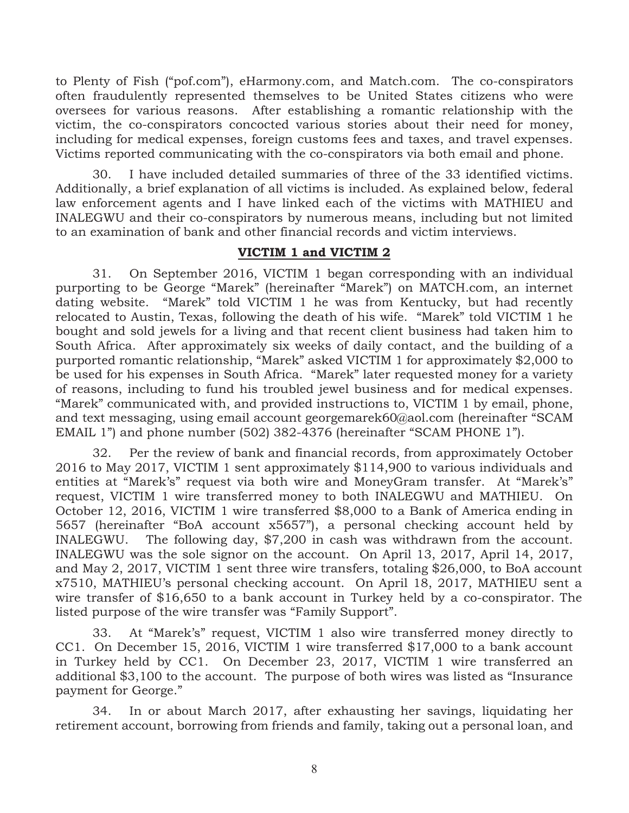to Plenty of Fish ("pof.com"), eHarmony.com, and Match.com. The co-conspirators often fraudulently represented themselves to be United States citizens who were oversees for various reasons. After establishing a romantic relationship with the victim, the co-conspirators concocted various stories about their need for money, including for medical expenses, foreign customs fees and taxes, and travel expenses. Victims reported communicating with the co-conspirators via both email and phone.

30. I have included detailed summaries of three of the 33 identified victims. Additionally, a brief explanation of all victims is included. As explained below, federal law enforcement agents and I have linked each of the victims with MATHIEU and INALEGWU and their co-conspirators by numerous means, including but not limited to an examination of bank and other financial records and victim interviews.

#### **VICTIM 1 and VICTIM 2**

31. On September 2016, VICTIM 1 began corresponding with an individual purporting to be George "Marek" (hereinafter "Marek") on MATCH.com, an internet dating website. "Marek" told VICTIM 1 he was from Kentucky, but had recently relocated to Austin, Texas, following the death of his wife. "Marek" told VICTIM 1 he bought and sold jewels for a living and that recent client business had taken him to South Africa. After approximately six weeks of daily contact, and the building of a purported romantic relationship, "Marek" asked VICTIM 1 for approximately \$2,000 to be used for his expenses in South Africa. "Marek" later requested money for a variety of reasons, including to fund his troubled jewel business and for medical expenses. "Marek" communicated with, and provided instructions to, VICTIM 1 by email, phone, and text messaging, using email account georgemarek60@aol.com (hereinafter "SCAM EMAIL 1") and phone number (502) 382-4376 (hereinafter "SCAM PHONE 1").

32. Per the review of bank and financial records, from approximately October 2016 to May 2017, VICTIM 1 sent approximately \$114,900 to various individuals and entities at "Marek's" request via both wire and MoneyGram transfer. At "Marek's" request, VICTIM 1 wire transferred money to both INALEGWU and MATHIEU. On October 12, 2016, VICTIM 1 wire transferred \$8,000 to a Bank of America ending in 5657 (hereinafter "BoA account x5657"), a personal checking account held by INALEGWU. The following day, \$7,200 in cash was withdrawn from the account. INALEGWU was the sole signor on the account. On April 13, 2017, April 14, 2017, and May 2, 2017, VICTIM 1 sent three wire transfers, totaling \$26,000, to BoA account x7510, MATHIEU's personal checking account. On April 18, 2017, MATHIEU sent a wire transfer of \$16,650 to a bank account in Turkey held by a co-conspirator. The listed purpose of the wire transfer was "Family Support".

33. At "Marek's" request, VICTIM 1 also wire transferred money directly to CC1. On December 15, 2016, VICTIM 1 wire transferred \$17,000 to a bank account in Turkey held by CC1. On December 23, 2017, VICTIM 1 wire transferred an additional \$3,100 to the account. The purpose of both wires was listed as "Insurance payment for George."

34. In or about March 2017, after exhausting her savings, liquidating her retirement account, borrowing from friends and family, taking out a personal loan, and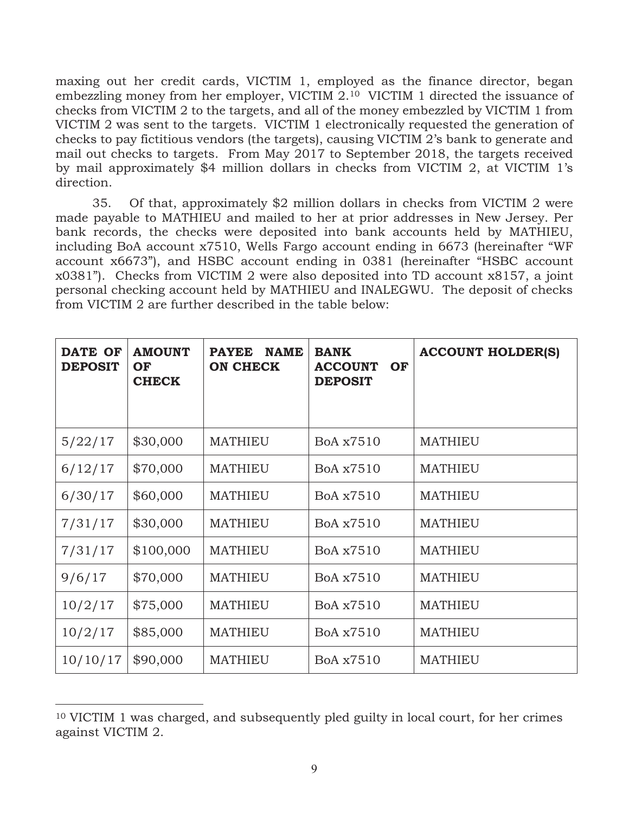maxing out her credit cards, VICTIM 1, employed as the finance director, began embezzling money from her employer, VICTIM 2.10 VICTIM 1 directed the issuance of checks from VICTIM 2 to the targets, and all of the money embezzled by VICTIM 1 from VICTIM 2 was sent to the targets. VICTIM 1 electronically requested the generation of checks to pay fictitious vendors (the targets), causing VICTIM 2's bank to generate and mail out checks to targets. From May 2017 to September 2018, the targets received by mail approximately \$4 million dollars in checks from VICTIM 2, at VICTIM 1's direction.

35. Of that, approximately \$2 million dollars in checks from VICTIM 2 were made payable to MATHIEU and mailed to her at prior addresses in New Jersey. Per bank records, the checks were deposited into bank accounts held by MATHIEU, including BoA account x7510, Wells Fargo account ending in 6673 (hereinafter "WF account x6673"), and HSBC account ending in 0381 (hereinafter "HSBC account x0381"). Checks from VICTIM 2 were also deposited into TD account x8157, a joint personal checking account held by MATHIEU and INALEGWU. The deposit of checks from VICTIM 2 are further described in the table below:

| <b>DATE OF</b><br><b>DEPOSIT</b> | <b>AMOUNT</b><br>OF<br><b>CHECK</b> | <b>NAME</b><br><b>PAYEE</b><br><b>ON CHECK</b> | <b>BANK</b><br><b>ACCOUNT</b><br>OF<br><b>DEPOSIT</b> | <b>ACCOUNT HOLDER(S)</b> |
|----------------------------------|-------------------------------------|------------------------------------------------|-------------------------------------------------------|--------------------------|
| 5/22/17                          | \$30,000                            | <b>MATHIEU</b>                                 | BoA x7510                                             | <b>MATHIEU</b>           |
| 6/12/17                          | \$70,000                            | <b>MATHIEU</b>                                 | BoA x7510                                             | <b>MATHIEU</b>           |
| 6/30/17                          | \$60,000                            | <b>MATHIEU</b>                                 | BoA x7510                                             | <b>MATHIEU</b>           |
| 7/31/17                          | \$30,000                            | <b>MATHIEU</b>                                 | BoA x7510                                             | <b>MATHIEU</b>           |
| 7/31/17                          | \$100,000                           | <b>MATHIEU</b>                                 | BoA x7510                                             | <b>MATHIEU</b>           |
| 9/6/17                           | \$70,000                            | <b>MATHIEU</b>                                 | BoA x7510                                             | <b>MATHIEU</b>           |
| 10/2/17                          | \$75,000                            | <b>MATHIEU</b>                                 | BoA x7510                                             | <b>MATHIEU</b>           |
| 10/2/17                          | \$85,000                            | <b>MATHIEU</b>                                 | BoA x7510                                             | <b>MATHIEU</b>           |
| 10/10/17                         | \$90,000                            | <b>MATHIEU</b>                                 | BoA x7510                                             | <b>MATHIEU</b>           |

<sup>10</sup> VICTIM 1 was charged, and subsequently pled guilty in local court, for her crimes against VICTIM 2.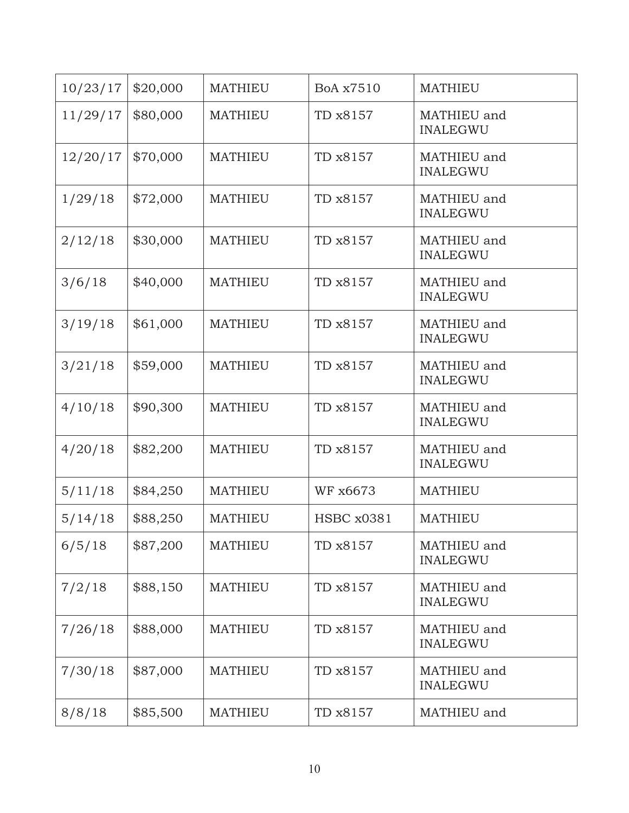| 10/23/17 | \$20,000 | <b>MATHIEU</b> | BoA x7510         | <b>MATHIEU</b>                 |
|----------|----------|----------------|-------------------|--------------------------------|
| 11/29/17 | \$80,000 | <b>MATHIEU</b> | TD x8157          | MATHIEU and<br><b>INALEGWU</b> |
| 12/20/17 | \$70,000 | <b>MATHIEU</b> | TD x8157          | MATHIEU and<br><b>INALEGWU</b> |
| 1/29/18  | \$72,000 | <b>MATHIEU</b> | TD x8157          | MATHIEU and<br><b>INALEGWU</b> |
| 2/12/18  | \$30,000 | <b>MATHIEU</b> | TD x8157          | MATHIEU and<br><b>INALEGWU</b> |
| 3/6/18   | \$40,000 | <b>MATHIEU</b> | TD x8157          | MATHIEU and<br><b>INALEGWU</b> |
| 3/19/18  | \$61,000 | <b>MATHIEU</b> | TD x8157          | MATHIEU and<br><b>INALEGWU</b> |
| 3/21/18  | \$59,000 | <b>MATHIEU</b> | TD x8157          | MATHIEU and<br><b>INALEGWU</b> |
| 4/10/18  | \$90,300 | <b>MATHIEU</b> | TD x8157          | MATHIEU and<br><b>INALEGWU</b> |
| 4/20/18  | \$82,200 | <b>MATHIEU</b> | TD x8157          | MATHIEU and<br><b>INALEGWU</b> |
| 5/11/18  | \$84,250 | <b>MATHIEU</b> | WF x6673          | <b>MATHIEU</b>                 |
| 5/14/18  | \$88,250 | <b>MATHIEU</b> | <b>HSBC x0381</b> | <b>MATHIEU</b>                 |
| 6/5/18   | \$87,200 | <b>MATHIEU</b> | TD x8157          | MATHIEU and<br><b>INALEGWU</b> |
| 7/2/18   | \$88,150 | <b>MATHIEU</b> | TD x8157          | MATHIEU and<br><b>INALEGWU</b> |
| 7/26/18  | \$88,000 | <b>MATHIEU</b> | TD x8157          | MATHIEU and<br><b>INALEGWU</b> |
| 7/30/18  | \$87,000 | <b>MATHIEU</b> | TD x8157          | MATHIEU and<br><b>INALEGWU</b> |
| 8/8/18   | \$85,500 | <b>MATHIEU</b> | TD x8157          | MATHIEU and                    |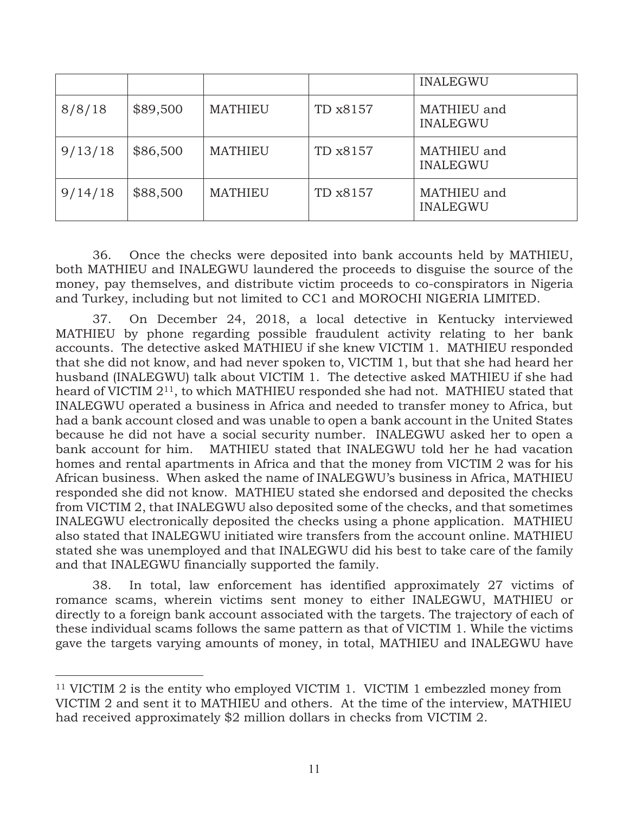|         |          |                |          | <b>INALEGWU</b>                |
|---------|----------|----------------|----------|--------------------------------|
| 8/8/18  | \$89,500 | <b>MATHIEU</b> | TD x8157 | MATHIEU and<br><b>INALEGWU</b> |
| 9/13/18 | \$86,500 | <b>MATHIEU</b> | TD x8157 | MATHIEU and<br><b>INALEGWU</b> |
| 9/14/18 | \$88,500 | <b>MATHIEU</b> | TD x8157 | MATHIEU and<br><b>INALEGWU</b> |

36. Once the checks were deposited into bank accounts held by MATHIEU, both MATHIEU and INALEGWU laundered the proceeds to disguise the source of the money, pay themselves, and distribute victim proceeds to co-conspirators in Nigeria and Turkey, including but not limited to CC1 and MOROCHI NIGERIA LIMITED.

37. On December 24, 2018, a local detective in Kentucky interviewed MATHIEU by phone regarding possible fraudulent activity relating to her bank accounts. The detective asked MATHIEU if she knew VICTIM 1. MATHIEU responded that she did not know, and had never spoken to, VICTIM 1, but that she had heard her husband (INALEGWU) talk about VICTIM 1. The detective asked MATHIEU if she had heard of VICTIM 211, to which MATHIEU responded she had not. MATHIEU stated that INALEGWU operated a business in Africa and needed to transfer money to Africa, but had a bank account closed and was unable to open a bank account in the United States because he did not have a social security number. INALEGWU asked her to open a bank account for him. MATHIEU stated that INALEGWU told her he had vacation homes and rental apartments in Africa and that the money from VICTIM 2 was for his African business. When asked the name of INALEGWU's business in Africa, MATHIEU responded she did not know. MATHIEU stated she endorsed and deposited the checks from VICTIM 2, that INALEGWU also deposited some of the checks, and that sometimes INALEGWU electronically deposited the checks using a phone application. MATHIEU also stated that INALEGWU initiated wire transfers from the account online. MATHIEU stated she was unemployed and that INALEGWU did his best to take care of the family and that INALEGWU financially supported the family.

38. In total, law enforcement has identified approximately 27 victims of romance scams, wherein victims sent money to either INALEGWU, MATHIEU or directly to a foreign bank account associated with the targets. The trajectory of each of these individual scams follows the same pattern as that of VICTIM 1. While the victims gave the targets varying amounts of money, in total, MATHIEU and INALEGWU have

<sup>11</sup> VICTIM 2 is the entity who employed VICTIM 1. VICTIM 1 embezzled money from VICTIM 2 and sent it to MATHIEU and others. At the time of the interview, MATHIEU had received approximately \$2 million dollars in checks from VICTIM 2.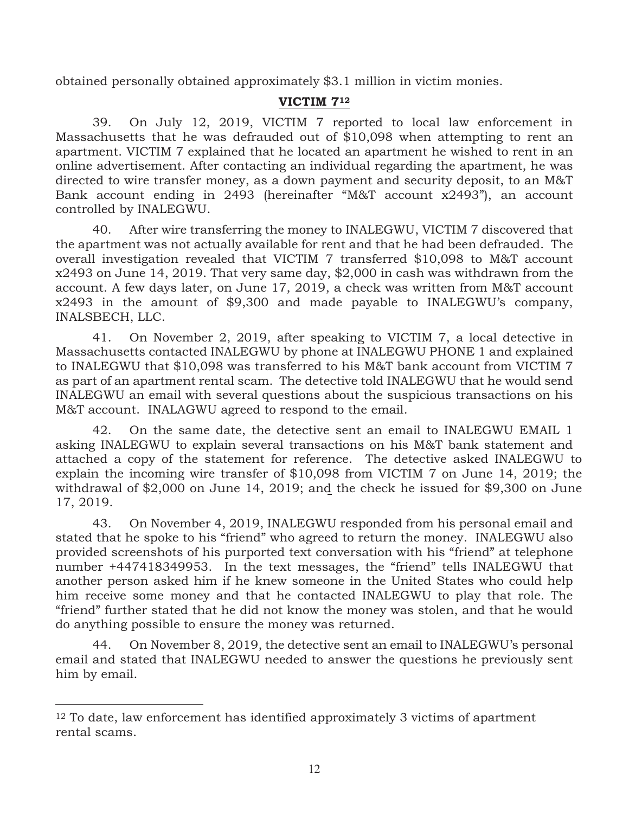obtained personally obtained approximately \$3.1 million in victim monies.

#### **VICTIM 712**

39. On July 12, 2019, VICTIM 7 reported to local law enforcement in Massachusetts that he was defrauded out of \$10,098 when attempting to rent an apartment. VICTIM 7 explained that he located an apartment he wished to rent in an online advertisement. After contacting an individual regarding the apartment, he was directed to wire transfer money, as a down payment and security deposit, to an M&T Bank account ending in 2493 (hereinafter "M&T account x2493"), an account controlled by INALEGWU.

40. After wire transferring the money to INALEGWU, VICTIM 7 discovered that the apartment was not actually available for rent and that he had been defrauded. The overall investigation revealed that VICTIM 7 transferred \$10,098 to M&T account x2493 on June 14, 2019. That very same day, \$2,000 in cash was withdrawn from the account. A few days later, on June 17, 2019, a check was written from M&T account x2493 in the amount of \$9,300 and made payable to INALEGWU's company, INALSBECH, LLC.

41. On November 2, 2019, after speaking to VICTIM 7, a local detective in Massachusetts contacted INALEGWU by phone at INALEGWU PHONE 1 and explained to INALEGWU that \$10,098 was transferred to his M&T bank account from VICTIM 7 as part of an apartment rental scam. The detective told INALEGWU that he would send INALEGWU an email with several questions about the suspicious transactions on his M&T account. INALAGWU agreed to respond to the email.

42. On the same date, the detective sent an email to INALEGWU EMAIL 1 asking INALEGWU to explain several transactions on his M&T bank statement and attached a copy of the statement for reference. The detective asked INALEGWU to explain the incoming wire transfer of \$10,098 from VICTIM 7 on June 14, 2019; the withdrawal of \$2,000 on June 14, 2019; and the check he issued for \$9,300 on June 17, 2019.

43. On November 4, 2019, INALEGWU responded from his personal email and stated that he spoke to his "friend" who agreed to return the money. INALEGWU also provided screenshots of his purported text conversation with his "friend" at telephone number +447418349953. In the text messages, the "friend" tells INALEGWU that another person asked him if he knew someone in the United States who could help him receive some money and that he contacted INALEGWU to play that role. The "friend" further stated that he did not know the money was stolen, and that he would do anything possible to ensure the money was returned.

44. On November 8, 2019, the detective sent an email to INALEGWU's personal email and stated that INALEGWU needed to answer the questions he previously sent him by email.

<sup>12</sup> To date, law enforcement has identified approximately 3 victims of apartment rental scams.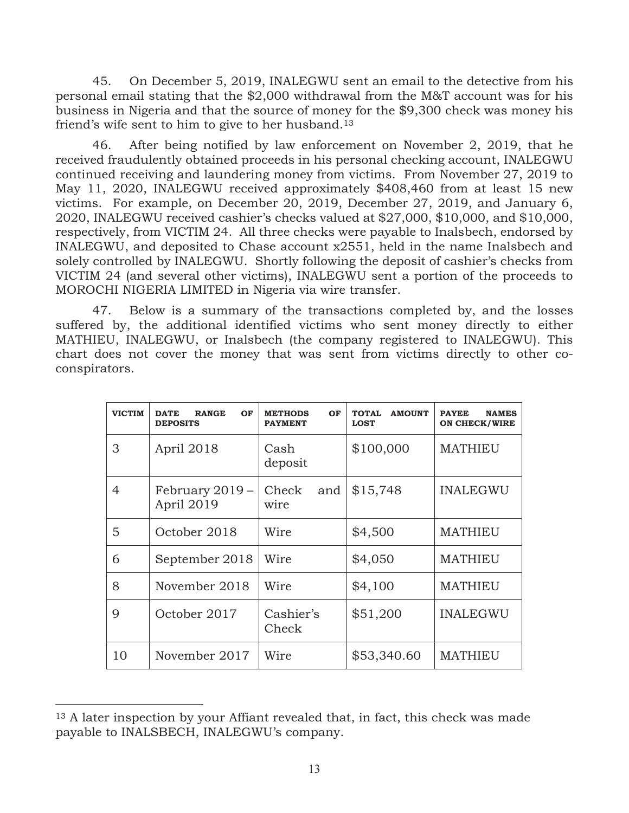45. On December 5, 2019, INALEGWU sent an email to the detective from his personal email stating that the \$2,000 withdrawal from the M&T account was for his business in Nigeria and that the source of money for the \$9,300 check was money his friend's wife sent to him to give to her husband.13

46. After being notified by law enforcement on November 2, 2019, that he received fraudulently obtained proceeds in his personal checking account, INALEGWU continued receiving and laundering money from victims. From November 27, 2019 to May 11, 2020, INALEGWU received approximately \$408,460 from at least 15 new victims. For example, on December 20, 2019, December 27, 2019, and January 6, 2020, INALEGWU received cashier's checks valued at \$27,000, \$10,000, and \$10,000, respectively, from VICTIM 24. All three checks were payable to Inalsbech, endorsed by INALEGWU, and deposited to Chase account x2551, held in the name Inalsbech and solely controlled by INALEGWU. Shortly following the deposit of cashier's checks from VICTIM 24 (and several other victims), INALEGWU sent a portion of the proceeds to MOROCHI NIGERIA LIMITED in Nigeria via wire transfer.

47. Below is a summary of the transactions completed by, and the losses suffered by, the additional identified victims who sent money directly to either MATHIEU, INALEGWU, or Inalsbech (the company registered to INALEGWU). This chart does not cover the money that was sent from victims directly to other coconspirators.

| <b>VICTIM</b> | <b>DATE</b><br>OF<br><b>RANGE</b><br><b>DEPOSITS</b> | <b>METHODS</b><br>OF<br><b>PAYMENT</b> | <b>TOTAL</b><br><b>AMOUNT</b><br><b>LOST</b> | <b>PAYEE</b><br><b>NAMES</b><br><b>ON CHECK/WIRE</b> |
|---------------|------------------------------------------------------|----------------------------------------|----------------------------------------------|------------------------------------------------------|
| 3             | April 2018                                           | Cash<br>deposit                        | \$100,000                                    | <b>MATHIEU</b>                                       |
| 4             | February 2019 -<br>April 2019                        | Check<br>and<br>wire                   | \$15,748                                     | <b>INALEGWU</b>                                      |
| 5             | October 2018                                         | Wire                                   | \$4,500                                      | <b>MATHIEU</b>                                       |
| 6             | September 2018                                       | Wire                                   | \$4,050                                      | <b>MATHIEU</b>                                       |
| 8             | November 2018                                        | Wire                                   | \$4,100                                      | <b>MATHIEU</b>                                       |
| 9             | October 2017                                         | Cashier's<br>Check                     | \$51,200                                     | <b>INALEGWU</b>                                      |
| 10            | November 2017                                        | Wire                                   | \$53,340.60                                  | <b>MATHIEU</b>                                       |

<sup>&</sup>lt;sup>13</sup> A later inspection by your Affiant revealed that, in fact, this check was made payable to INALSBECH, INALEGWU's company.

 $\overline{a}$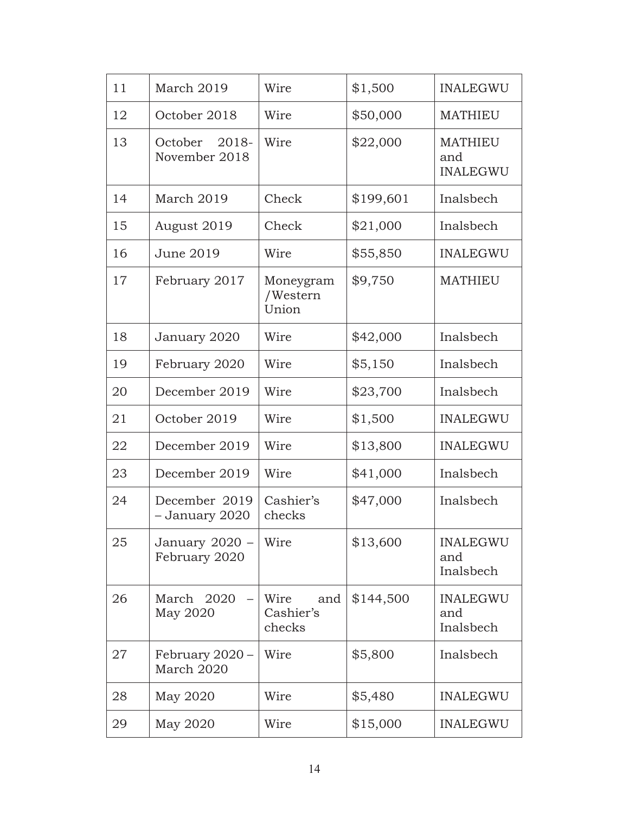| 11 | March 2019                        | Wire                               | \$1,500   | <b>INALEGWU</b>                          |
|----|-----------------------------------|------------------------------------|-----------|------------------------------------------|
| 12 | October 2018                      | Wire                               | \$50,000  | <b>MATHIEU</b>                           |
| 13 | October<br>2018-<br>November 2018 | Wire                               | \$22,000  | <b>MATHIEU</b><br>and<br><b>INALEGWU</b> |
| 14 | March 2019                        | Check                              | \$199,601 | Inalsbech                                |
| 15 | August 2019                       | Check                              | \$21,000  | Inalsbech                                |
| 16 | June 2019                         | Wire                               | \$55,850  | <b>INALEGWU</b>                          |
| 17 | February 2017                     | Moneygram<br>/Western<br>Union     | \$9,750   | <b>MATHIEU</b>                           |
| 18 | January 2020                      | Wire                               | \$42,000  | Inalsbech                                |
| 19 | February 2020                     | Wire                               | \$5,150   | Inalsbech                                |
| 20 | December 2019                     | Wire                               | \$23,700  | Inalsbech                                |
| 21 | October 2019                      | Wire                               | \$1,500   | <b>INALEGWU</b>                          |
| 22 | December 2019                     | Wire                               | \$13,800  | <b>INALEGWU</b>                          |
| 23 | December 2019                     | Wire                               | \$41,000  | Inalsbech                                |
| 24 | December 2019<br>- January 2020   | Cashier's<br>checks                | \$47,000  | Inalsbech                                |
| 25 | January 2020 -<br>February 2020   | Wire                               | \$13,600  | <b>INALEGWU</b><br>and<br>Inalsbech      |
| 26 | March 2020<br>May 2020            | Wire<br>and<br>Cashier's<br>checks | \$144,500 | <b>INALEGWU</b><br>and<br>Inalsbech      |
| 27 | February 2020 -<br>March 2020     | Wire                               | \$5,800   | Inalsbech                                |
| 28 | May 2020                          | Wire                               | \$5,480   | <b>INALEGWU</b>                          |
| 29 | May 2020                          | Wire                               | \$15,000  | <b>INALEGWU</b>                          |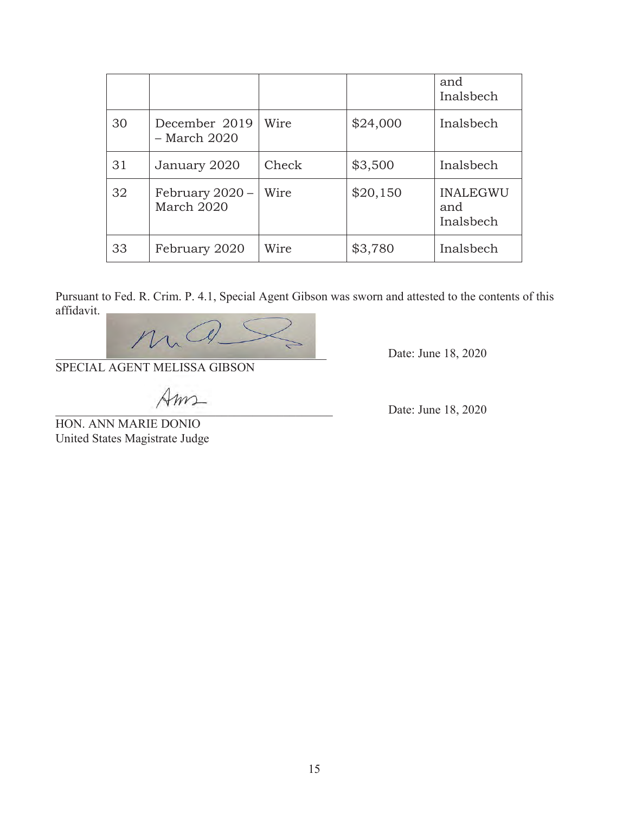|    |                               |       |          | and<br>Inalsbech                    |
|----|-------------------------------|-------|----------|-------------------------------------|
| 30 | December 2019<br>– March 2020 | Wire  | \$24,000 | Inalsbech                           |
| 31 | January 2020                  | Check | \$3,500  | Inalsbech                           |
| 32 | February 2020 –<br>March 2020 | Wire  | \$20,150 | <b>INALEGWU</b><br>and<br>Inalsbech |
| 33 | February 2020                 | Wire  | \$3,780  | Inalsbech                           |

Pursuant to Fed. R. Crim. P. 4.1, Special Agent Gibson was sworn and attested to the contents of this affidavit.



Date: June 18, 2020

SPECIAL AGENT MELISSA GIBSON

 $\mathcal{A}$ *m* 

HON. ANN MARIE DONIO United States Magistrate Judge